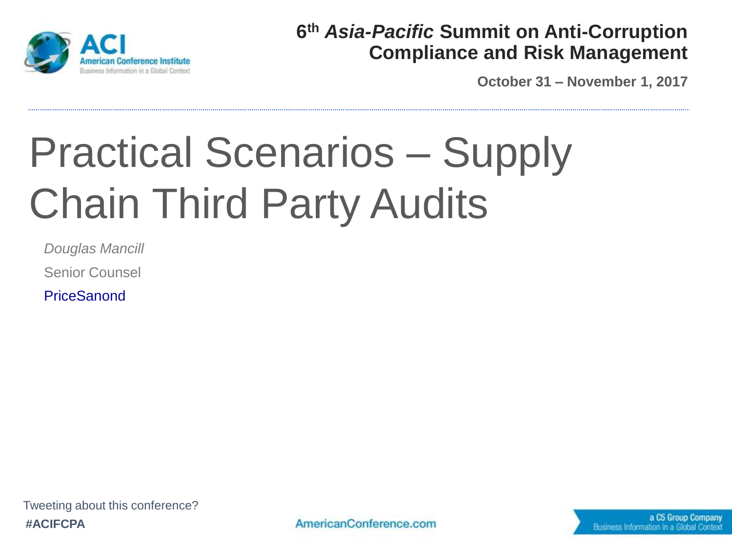

#### **6 th** *Asia-Pacific* **Summit on Anti-Corruption Compliance and Risk Management**

**October 31 – November 1, 2017**

# Practical Scenarios – Supply Chain Third Party Audits

*Douglas Mancill*

Senior Counsel

**PriceSanond**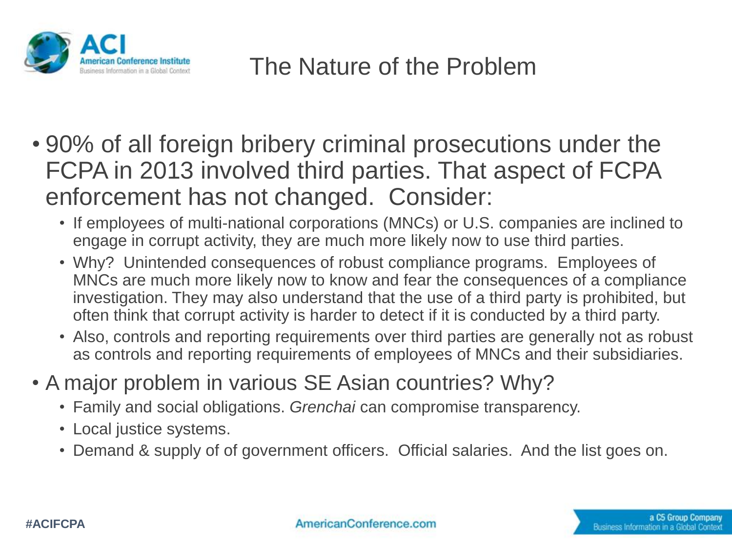

- 90% of all foreign bribery criminal prosecutions under the FCPA in 2013 involved third parties. That aspect of FCPA enforcement has not changed. Consider:
	- If employees of multi-national corporations (MNCs) or U.S. companies are inclined to engage in corrupt activity, they are much more likely now to use third parties.
	- Why? Unintended consequences of robust compliance programs. Employees of MNCs are much more likely now to know and fear the consequences of a compliance investigation. They may also understand that the use of a third party is prohibited, but often think that corrupt activity is harder to detect if it is conducted by a third party.
	- Also, controls and reporting requirements over third parties are generally not as robust as controls and reporting requirements of employees of MNCs and their subsidiaries.
- A major problem in various SE Asian countries? Why?
	- Family and social obligations. *Grenchai* can compromise transparency.
	- Local justice systems.
	- Demand & supply of of government officers. Official salaries. And the list goes on.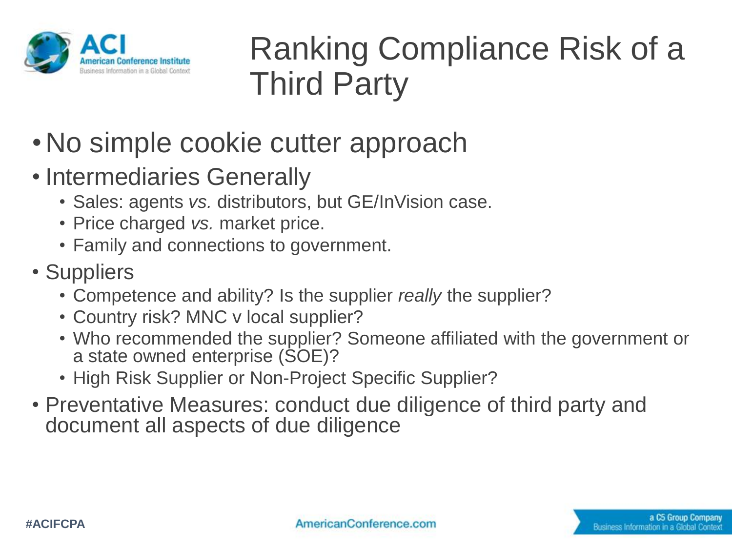

## Ranking Compliance Risk of a Third Party

- •No simple cookie cutter approach
- Intermediaries Generally
	- Sales: agents *vs.* distributors, but GE/InVision case.
	- Price charged *vs.* market price.
	- Family and connections to government.
- Suppliers
	- Competence and ability? Is the supplier *really* the supplier?
	- Country risk? MNC v local supplier?
	- Who recommended the supplier? Someone affiliated with the government or a state owned enterprise (SOE)?
	- High Risk Supplier or Non-Project Specific Supplier?
- Preventative Measures: conduct due diligence of third party and document all aspects of due diligence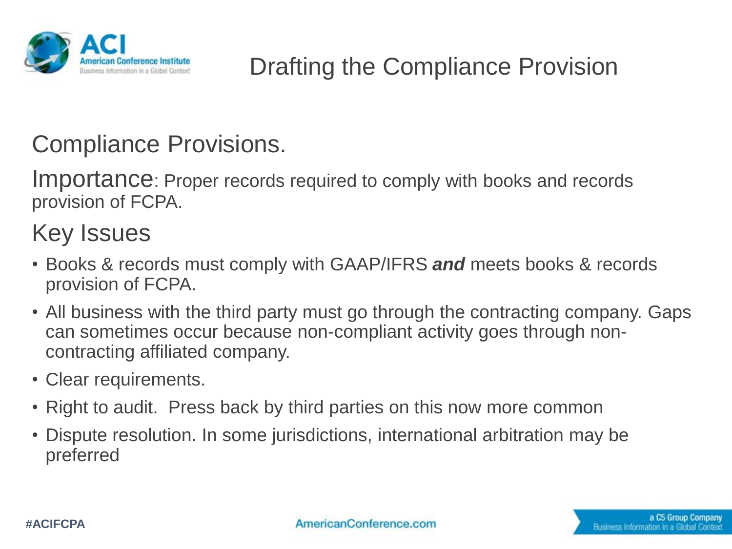

#### Drafting the Compliance Provision

#### Compliance Provisions.

Importance: Proper records required to comply with books and records provision of FCPA.

#### Key Issues

- Books & records must comply with GAAP/IFRS *and* meets books & records provision of FCPA.
- All business with the third party must go through the contracting company. Gaps can sometimes occur because non-compliant activity goes through noncontracting affiliated company.
- Clear requirements.
- Right to audit. Press back by third parties on this now more common
- Dispute resolution. In some jurisdictions, international arbitration may be preferred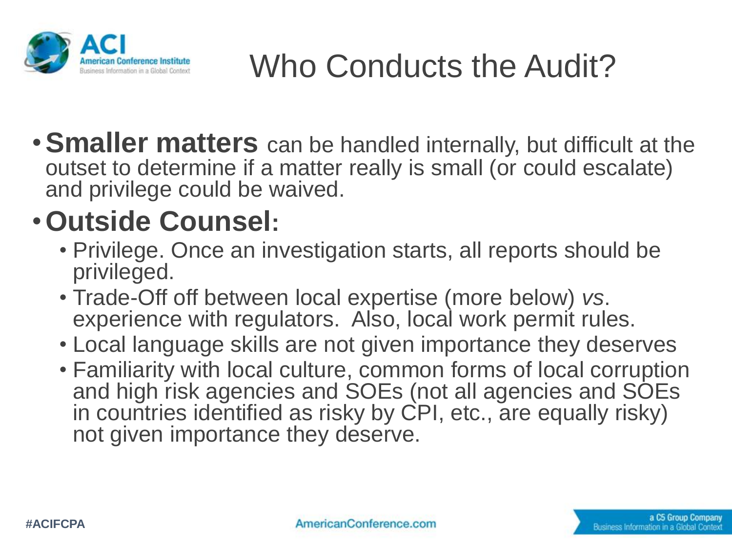

# Who Conducts the Audit?

•**Smaller matters** can be handled internally, but difficult at the outset to determine if a matter really is small (or could escalate) and privilege could be waived.

## •**Outside Counsel:**

- Privilege. Once an investigation starts, all reports should be privileged.
- Trade-Off off between local expertise (more below) *vs*. experience with regulators. Also, local work permit rules.
- Local language skills are not given importance they deserves
- Familiarity with local culture, common forms of local corruption and high risk agencies and SOEs (not all agencies and SOEs in countries identified as risky by CPI, etc., are equally risky) not given importance they deserve.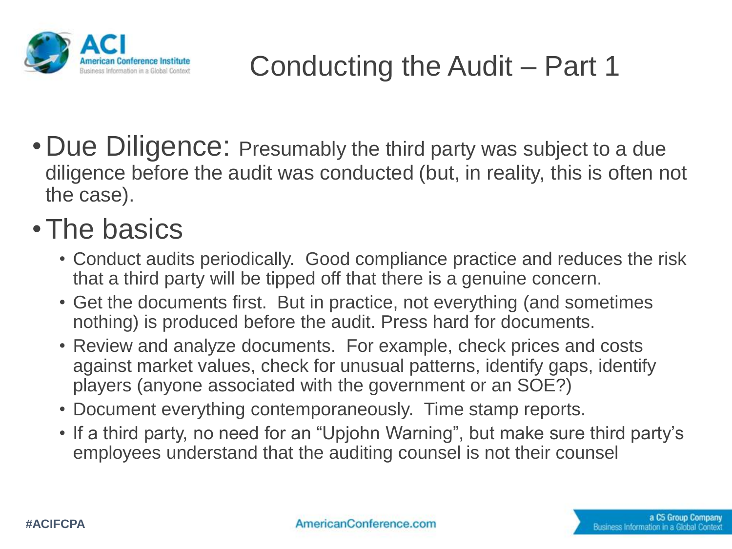

## Conducting the Audit – Part 1

• Due Diligence: Presumably the third party was subject to a due diligence before the audit was conducted (but, in reality, this is often not the case).

### •The basics

- Conduct audits periodically. Good compliance practice and reduces the risk that a third party will be tipped off that there is a genuine concern.
- Get the documents first. But in practice, not everything (and sometimes nothing) is produced before the audit. Press hard for documents.
- Review and analyze documents. For example, check prices and costs against market values, check for unusual patterns, identify gaps, identify players (anyone associated with the government or an SOE?)
- Document everything contemporaneously. Time stamp reports.
- If a third party, no need for an "Upjohn Warning", but make sure third party's employees understand that the auditing counsel is not their counsel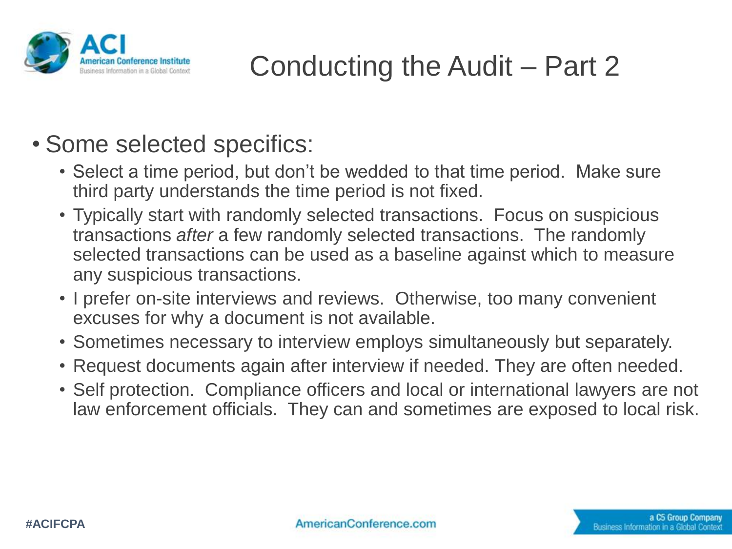

## Conducting the Audit – Part 2

- Some selected specifics:
	- Select a time period, but don't be wedded to that time period. Make sure third party understands the time period is not fixed.
	- Typically start with randomly selected transactions. Focus on suspicious transactions *after* a few randomly selected transactions. The randomly selected transactions can be used as a baseline against which to measure any suspicious transactions.
	- I prefer on-site interviews and reviews. Otherwise, too many convenient excuses for why a document is not available.
	- Sometimes necessary to interview employs simultaneously but separately.
	- Request documents again after interview if needed. They are often needed.
	- Self protection. Compliance officers and local or international lawyers are not law enforcement officials. They can and sometimes are exposed to local risk.

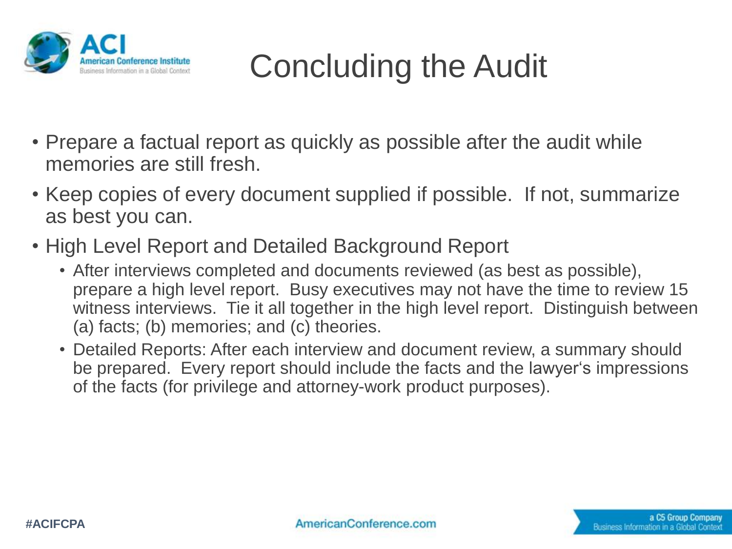

# Concluding the Audit

- Prepare a factual report as quickly as possible after the audit while memories are still fresh.
- Keep copies of every document supplied if possible. If not, summarize as best you can.
- High Level Report and Detailed Background Report
	- After interviews completed and documents reviewed (as best as possible), prepare a high level report. Busy executives may not have the time to review 15 witness interviews. Tie it all together in the high level report. Distinguish between (a) facts; (b) memories; and (c) theories.
	- Detailed Reports: After each interview and document review, a summary should be prepared. Every report should include the facts and the lawyer's impressions of the facts (for privilege and attorney-work product purposes).